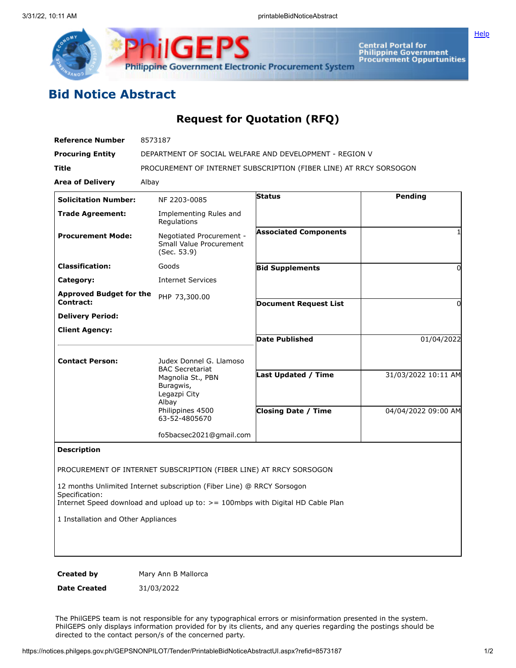

Central Portal for<br>Philippine Government<br>Procurement Oppurtunities

**[Help](javascript:void(window.open()** 

## **Bid Notice Abstract**

## **Request for Quotation (RFQ)**

| <b>Reference Number</b>             | 8573187                                                                             |                              |                     |
|-------------------------------------|-------------------------------------------------------------------------------------|------------------------------|---------------------|
| <b>Procuring Entity</b>             | DEPARTMENT OF SOCIAL WELFARE AND DEVELOPMENT - REGION V                             |                              |                     |
| Title                               | PROCUREMENT OF INTERNET SUBSCRIPTION (FIBER LINE) AT RRCY SORSOGON                  |                              |                     |
| <b>Area of Delivery</b>             | Albay                                                                               |                              |                     |
| <b>Solicitation Number:</b>         | NF 2203-0085                                                                        | <b>Status</b>                | <b>Pending</b>      |
| <b>Trade Agreement:</b>             | Implementing Rules and<br>Regulations                                               |                              |                     |
| <b>Procurement Mode:</b>            | Negotiated Procurement -<br><b>Small Value Procurement</b><br>(Sec. 53.9)           | <b>Associated Components</b> | 1                   |
| <b>Classification:</b>              | Goods                                                                               | <b>Bid Supplements</b>       | 0                   |
| Category:                           | <b>Internet Services</b>                                                            |                              |                     |
| <b>Approved Budget for the</b>      | PHP 73,300.00                                                                       |                              |                     |
| <b>Contract:</b>                    |                                                                                     | <b>Document Request List</b> | 0                   |
| <b>Delivery Period:</b>             |                                                                                     |                              |                     |
| <b>Client Agency:</b>               |                                                                                     | <b>Date Published</b>        | 01/04/2022          |
|                                     |                                                                                     |                              |                     |
| <b>Contact Person:</b>              | Judex Donnel G. Llamoso<br><b>BAC Secretariat</b><br>Magnolia St., PBN<br>Buragwis, |                              |                     |
|                                     |                                                                                     | <b>Last Updated / Time</b>   | 31/03/2022 10:11 AM |
|                                     | Legazpi City<br>Albay                                                               |                              |                     |
|                                     | Philippines 4500<br>63-52-4805670                                                   | <b>Closing Date / Time</b>   | 04/04/2022 09:00 AM |
|                                     | fo5bacsec2021@gmail.com                                                             |                              |                     |
| <b>Description</b>                  |                                                                                     |                              |                     |
|                                     |                                                                                     |                              |                     |
|                                     | PROCUREMENT OF INTERNET SUBSCRIPTION (FIBER LINE) AT RRCY SORSOGON                  |                              |                     |
| Specification:                      | 12 months Unlimited Internet subscription (Fiber Line) @ RRCY Sorsogon              |                              |                     |
|                                     | Internet Speed download and upload up to: $>$ = 100mbps with Digital HD Cable Plan  |                              |                     |
| 1 Installation and Other Appliances |                                                                                     |                              |                     |
|                                     |                                                                                     |                              |                     |
|                                     |                                                                                     |                              |                     |
|                                     |                                                                                     |                              |                     |
| <b>Created by</b>                   | Mary Ann B Mallorca                                                                 |                              |                     |

**Date Created** 31/03/2022

The PhilGEPS team is not responsible for any typographical errors or misinformation presented in the system. PhilGEPS only displays information provided for by its clients, and any queries regarding the postings should be directed to the contact person/s of the concerned party.